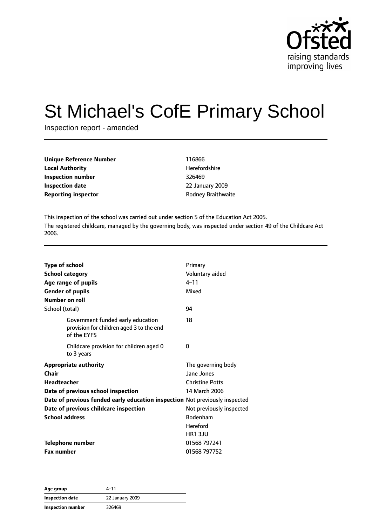

# St Michael's CofE Primary School

Inspection report - amended

| Unique Reference Number    | 116866                    |
|----------------------------|---------------------------|
| Local Authority            | Herefordshire             |
| Inspection number          | 326469                    |
| Inspection date            | 22 January 2009           |
| <b>Reporting inspector</b> | <b>Rodney Braithwaite</b> |
|                            |                           |

This inspection of the school was carried out under section 5 of the Education Act 2005. The registered childcare, managed by the governing body, was inspected under section 49 of the Childcare Act 2006.

| <b>Type of school</b>                                                                        | Primary                     |
|----------------------------------------------------------------------------------------------|-----------------------------|
| <b>School category</b><br>Age range of pupils                                                | Voluntary aided<br>$4 - 11$ |
| <b>Gender of pupils</b>                                                                      | Mixed                       |
| Number on roll                                                                               |                             |
| School (total)                                                                               | 94                          |
| Government funded early education<br>provision for children aged 3 to the end<br>of the EYFS | 18                          |
| Childcare provision for children aged 0<br>to 3 years                                        | 0                           |
| <b>Appropriate authority</b>                                                                 | The governing body          |
| Chair                                                                                        | Jane Jones                  |
| <b>Headteacher</b>                                                                           | <b>Christine Potts</b>      |
| Date of previous school inspection                                                           | 14 March 2006               |
| Date of previous funded early education inspection Not previously inspected                  |                             |
| Date of previous childcare inspection                                                        | Not previously inspected    |
| <b>School address</b>                                                                        | <b>Bodenham</b>             |
|                                                                                              | <b>Hereford</b>             |
|                                                                                              | <b>HR1 3JU</b>              |
| <b>Telephone number</b>                                                                      | 01568 797241                |
| <b>Fax number</b>                                                                            | 01568 797752                |

**Age group** 4–11 **Inspection date** 22 January 2009 **Inspection number** 326469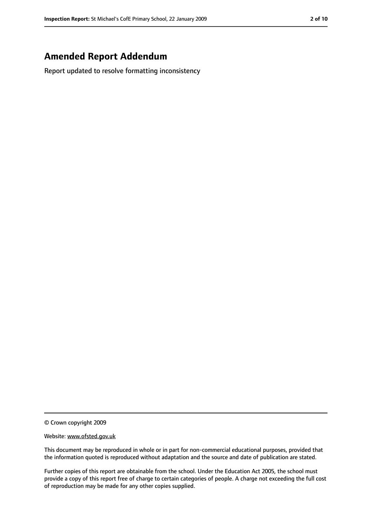### **Amended Report Addendum**

Report updated to resolve formatting inconsistency

<sup>©</sup> Crown copyright 2009

Website: www.ofsted.gov.uk

This document may be reproduced in whole or in part for non-commercial educational purposes, provided that the information quoted is reproduced without adaptation and the source and date of publication are stated.

Further copies of this report are obtainable from the school. Under the Education Act 2005, the school must provide a copy of this report free of charge to certain categories of people. A charge not exceeding the full cost of reproduction may be made for any other copies supplied.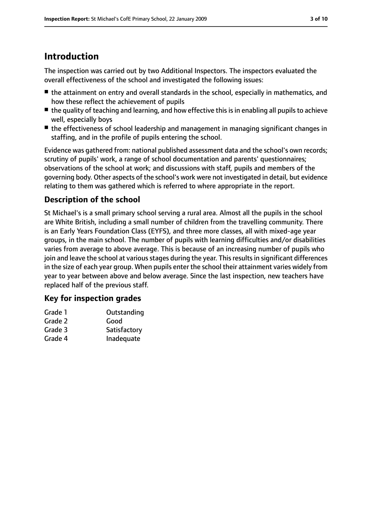# **Introduction**

The inspection was carried out by two Additional Inspectors. The inspectors evaluated the overall effectiveness of the school and investigated the following issues:

- the attainment on entry and overall standards in the school, especially in mathematics, and how these reflect the achievement of pupils
- the quality of teaching and learning, and how effective this is in enabling all pupils to achieve well, especially boys
- the effectiveness of school leadership and management in managing significant changes in staffing, and in the profile of pupils entering the school.

Evidence was gathered from: national published assessment data and the school's own records; scrutiny of pupils' work, a range of school documentation and parents' questionnaires; observations of the school at work; and discussions with staff, pupils and members of the governing body. Other aspects of the school's work were not investigated in detail, but evidence relating to them was gathered which is referred to where appropriate in the report.

### **Description of the school**

St Michael's is a small primary school serving a rural area. Almost all the pupils in the school are White British, including a small number of children from the travelling community. There is an Early Years Foundation Class (EYFS), and three more classes, all with mixed-age year groups, in the main school. The number of pupils with learning difficulties and/or disabilities varies from average to above average. This is because of an increasing number of pupils who join and leave the school at various stages during the year. This results in significant differences in the size of each year group. When pupils enter the school their attainment varies widely from year to year between above and below average. Since the last inspection, new teachers have replaced half of the previous staff.

### **Key for inspection grades**

| Grade 1 | Outstanding  |
|---------|--------------|
| Grade 2 | Good         |
| Grade 3 | Satisfactory |
| Grade 4 | Inadequate   |
|         |              |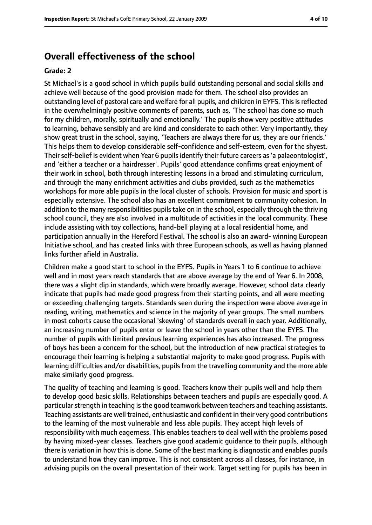### **Overall effectiveness of the school**

#### **Grade: 2**

St Michael's is a good school in which pupils build outstanding personal and social skills and achieve well because of the good provision made for them. The school also provides an outstanding level of pastoral care and welfare for all pupils, and children in EYFS. Thisisreflected in the overwhelmingly positive comments of parents, such as, 'The school has done so much for my children, morally, spiritually and emotionally.' The pupils show very positive attitudes to learning, behave sensibly and are kind and considerate to each other. Very importantly, they show great trust in the school, saying, 'Teachers are always there for us, they are our friends.' This helps them to develop considerable self-confidence and self-esteem, even for the shyest. Their self-belief is evident when Year 6 pupils identify their future careers as 'a palaeontologist', and 'either a teacher or a hairdresser'. Pupils' good attendance confirms great enjoyment of their work in school, both through interesting lessons in a broad and stimulating curriculum, and through the many enrichment activities and clubs provided, such as the mathematics workshops for more able pupils in the local cluster of schools. Provision for music and sport is especially extensive. The school also has an excellent commitment to community cohesion. In addition to the many responsibilities pupils take on in the school, especially through the thriving school council, they are also involved in a multitude of activities in the local community. These include assisting with toy collections, hand-bell playing at a local residential home, and participation annually in the Hereford Festival. The school is also an award- winning European Initiative school, and has created links with three European schools, as well as having planned links further afield in Australia.

Children make a good start to school in the EYFS. Pupils in Years 1 to 6 continue to achieve well and in most years reach standards that are above average by the end of Year 6. In 2008, there was a slight dip in standards, which were broadly average. However, school data clearly indicate that pupils had made good progress from their starting points, and all were meeting or exceeding challenging targets. Standards seen during the inspection were above average in reading, writing, mathematics and science in the majority of year groups. The small numbers in most cohorts cause the occasional 'skewing' of standards overall in each year. Additionally, an increasing number of pupils enter or leave the school in years other than the EYFS. The number of pupils with limited previous learning experiences has also increased. The progress of boys has been a concern for the school, but the introduction of new practical strategies to encourage their learning is helping a substantial majority to make good progress. Pupils with learning difficulties and/or disabilities, pupils from the travelling community and the more able make similarly good progress.

The quality of teaching and learning is good. Teachers know their pupils well and help them to develop good basic skills. Relationships between teachers and pupils are especially good. A particular strength in teaching is the good teamwork between teachers and teaching assistants. Teaching assistants are well trained, enthusiastic and confident in their very good contributions to the learning of the most vulnerable and less able pupils. They accept high levels of responsibility with much eagerness. This enables teachers to deal well with the problems posed by having mixed-year classes. Teachers give good academic guidance to their pupils, although there is variation in how this is done. Some of the best marking is diagnostic and enables pupils to understand how they can improve. This is not consistent across all classes, for instance, in advising pupils on the overall presentation of their work. Target setting for pupils has been in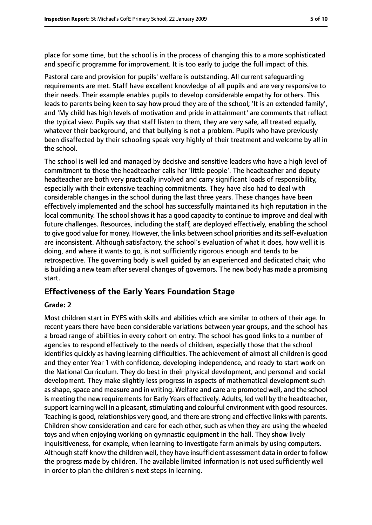place for some time, but the school is in the process of changing this to a more sophisticated and specific programme for improvement. It is too early to judge the full impact of this.

Pastoral care and provision for pupils' welfare is outstanding. All current safeguarding requirements are met. Staff have excellent knowledge of all pupils and are very responsive to their needs. Their example enables pupils to develop considerable empathy for others. This leads to parents being keen to say how proud they are of the school; 'It is an extended family', and 'My child has high levels of motivation and pride in attainment' are comments that reflect the typical view. Pupils say that staff listen to them, they are very safe, all treated equally, whatever their background, and that bullying is not a problem. Pupils who have previously been disaffected by their schooling speak very highly of their treatment and welcome by all in the school.

The school is well led and managed by decisive and sensitive leaders who have a high level of commitment to those the headteacher calls her 'little people'. The headteacher and deputy headteacher are both very practically involved and carry significant loads of responsibility, especially with their extensive teaching commitments. They have also had to deal with considerable changes in the school during the last three years. These changes have been effectively implemented and the school has successfully maintained its high reputation in the local community. The school shows it has a good capacity to continue to improve and deal with future challenges. Resources, including the staff, are deployed effectively, enabling the school to give good value for money. However, the links between school priorities and itsself-evaluation are inconsistent. Although satisfactory, the school's evaluation of what it does, how well it is doing, and where it wants to go, is not sufficiently rigorous enough and tends to be retrospective. The governing body is well guided by an experienced and dedicated chair, who is building a new team after several changes of governors. The new body has made a promising start.

### **Effectiveness of the Early Years Foundation Stage**

#### **Grade: 2**

Most children start in EYFS with skills and abilities which are similar to others of their age. In recent years there have been considerable variations between year groups, and the school has a broad range of abilities in every cohort on entry. The school has good links to a number of agencies to respond effectively to the needs of children, especially those that the school identifies quickly as having learning difficulties. The achievement of almost all children is good and they enter Year 1 with confidence, developing independence, and ready to start work on the National Curriculum. They do best in their physical development, and personal and social development. They make slightly less progress in aspects of mathematical development such as shape, space and measure and in writing. Welfare and care are promoted well, and the school is meeting the new requirements for Early Years effectively. Adults, led well by the headteacher, support learning well in a pleasant, stimulating and colourful environment with good resources. Teaching is good, relationships very good, and there are strong and effective links with parents. Children show consideration and care for each other, such as when they are using the wheeled toys and when enjoying working on gymnastic equipment in the hall. They show lively inquisitiveness, for example, when learning to investigate farm animals by using computers. Although staff know the children well, they have insufficient assessment data in order to follow the progress made by children. The available limited information is not used sufficiently well in order to plan the children's next steps in learning.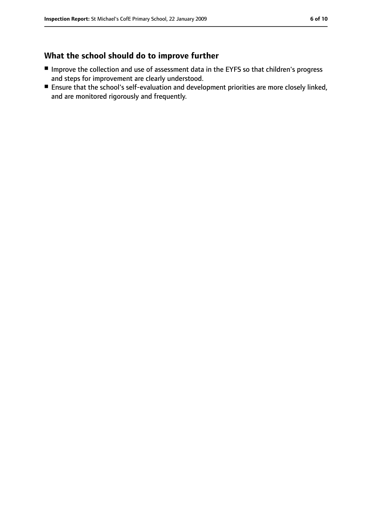### **What the school should do to improve further**

- Improve the collection and use of assessment data in the EYFS so that children's progress and steps for improvement are clearly understood.
- Ensure that the school's self-evaluation and development priorities are more closely linked, and are monitored rigorously and frequently.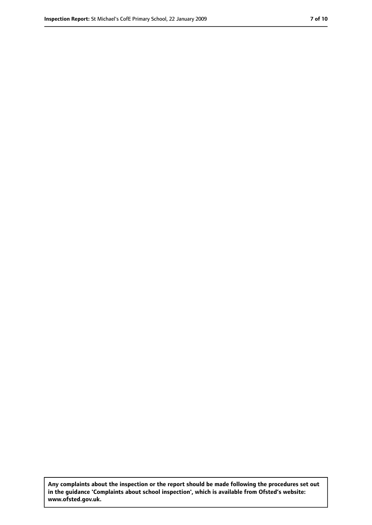**Any complaints about the inspection or the report should be made following the procedures set out in the guidance 'Complaints about school inspection', which is available from Ofsted's website: www.ofsted.gov.uk.**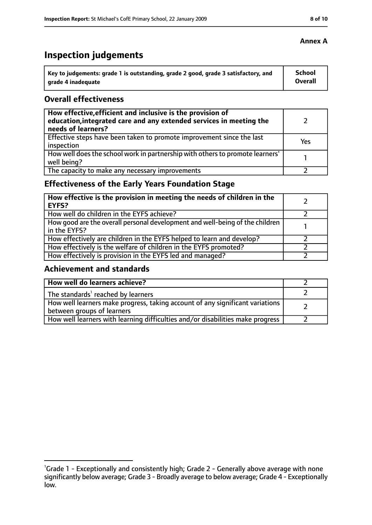# **Inspection judgements**

| Key to judgements: grade 1 is outstanding, grade 2 good, grade 3 satisfactory, and | School  |
|------------------------------------------------------------------------------------|---------|
| arade 4 inadequate                                                                 | Overall |

### **Overall effectiveness**

| How effective, efficient and inclusive is the provision of<br>education, integrated care and any extended services in meeting the<br>needs of learners? |     |
|---------------------------------------------------------------------------------------------------------------------------------------------------------|-----|
| Effective steps have been taken to promote improvement since the last<br>inspection                                                                     | Yes |
| How well does the school work in partnership with others to promote learners'<br>well being?                                                            |     |
| The capacity to make any necessary improvements                                                                                                         |     |

### **Effectiveness of the Early Years Foundation Stage**

| How effective is the provision in meeting the needs of children in the<br><b>EYFS?</b>       |  |
|----------------------------------------------------------------------------------------------|--|
| How well do children in the EYFS achieve?                                                    |  |
| How good are the overall personal development and well-being of the children<br>in the EYFS? |  |
| How effectively are children in the EYFS helped to learn and develop?                        |  |
| How effectively is the welfare of children in the EYFS promoted?                             |  |
| How effectively is provision in the EYFS led and managed?                                    |  |

### **Achievement and standards**

| How well do learners achieve?                                                                               |  |
|-------------------------------------------------------------------------------------------------------------|--|
| The standards <sup>1</sup> reached by learners                                                              |  |
| How well learners make progress, taking account of any significant variations<br>between groups of learners |  |
| How well learners with learning difficulties and/or disabilities make progress                              |  |

### **Annex A**

<sup>&</sup>lt;sup>1</sup>Grade 1 - Exceptionally and consistently high; Grade 2 - Generally above average with none significantly below average; Grade 3 - Broadly average to below average; Grade 4 - Exceptionally low.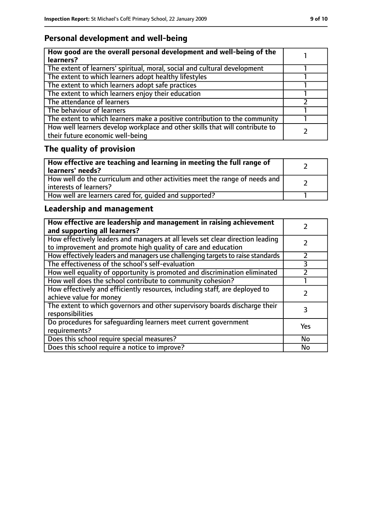### **Personal development and well-being**

| How good are the overall personal development and well-being of the<br>learners?                                 |  |
|------------------------------------------------------------------------------------------------------------------|--|
| The extent of learners' spiritual, moral, social and cultural development                                        |  |
| The extent to which learners adopt healthy lifestyles                                                            |  |
| The extent to which learners adopt safe practices                                                                |  |
| The extent to which learners enjoy their education                                                               |  |
| The attendance of learners                                                                                       |  |
| The behaviour of learners                                                                                        |  |
| The extent to which learners make a positive contribution to the community                                       |  |
| How well learners develop workplace and other skills that will contribute to<br>their future economic well-being |  |

# **The quality of provision**

| How effective are teaching and learning in meeting the full range of<br>learners' needs?              |  |
|-------------------------------------------------------------------------------------------------------|--|
| How well do the curriculum and other activities meet the range of needs and<br>interests of learners? |  |
| How well are learners cared for, quided and supported?                                                |  |

### **Leadership and management**

| How effective are leadership and management in raising achievement<br>and supporting all learners?                                              |           |
|-------------------------------------------------------------------------------------------------------------------------------------------------|-----------|
| How effectively leaders and managers at all levels set clear direction leading<br>to improvement and promote high quality of care and education |           |
| How effectively leaders and managers use challenging targets to raise standards                                                                 |           |
| The effectiveness of the school's self-evaluation                                                                                               | 3         |
| How well equality of opportunity is promoted and discrimination eliminated                                                                      |           |
| How well does the school contribute to community cohesion?                                                                                      |           |
| How effectively and efficiently resources, including staff, are deployed to<br>achieve value for money                                          |           |
| The extent to which governors and other supervisory boards discharge their<br>responsibilities                                                  | 3         |
| Do procedures for safequarding learners meet current government<br>requirements?                                                                | Yes       |
| Does this school require special measures?                                                                                                      | No        |
| Does this school require a notice to improve?                                                                                                   | <b>No</b> |